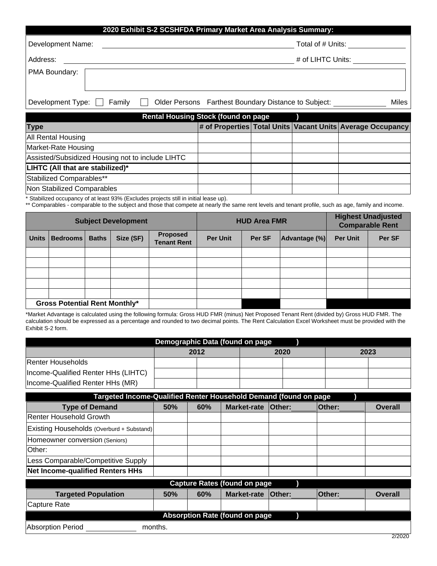| 2020 Exhibit S-2 SCSHFDA Primary Market Area Analysis Summary: |                                                               |  |  |  |
|----------------------------------------------------------------|---------------------------------------------------------------|--|--|--|
| Development Name:                                              | Total of # Units:                                             |  |  |  |
| Address:                                                       | # of LIHTC Units:                                             |  |  |  |
| PMA Boundary:                                                  |                                                               |  |  |  |
| Development Type:<br>Family                                    | Older Persons Farthest Boundary Distance to Subject:<br>Miles |  |  |  |

| <b>Rental Housing Stock (found on page</b>       |  |  |  |                                                            |  |
|--------------------------------------------------|--|--|--|------------------------------------------------------------|--|
| <b>Type</b>                                      |  |  |  | # of Properties Total Units Vacant Units Average Occupancy |  |
| All Rental Housing                               |  |  |  |                                                            |  |
| Market-Rate Housing                              |  |  |  |                                                            |  |
| Assisted/Subsidized Housing not to include LIHTC |  |  |  |                                                            |  |
| LIHTC (All that are stabilized)*                 |  |  |  |                                                            |  |
| Stabilized Comparables**                         |  |  |  |                                                            |  |
| Non Stabilized Comparables                       |  |  |  |                                                            |  |

\* Stabilized occupancy of at least 93% (Excludes projects still in initial lease up).

\*\* Comparables - comparable to the subject and those that compete at nearly the same rent levels and tenant profile, such as age, family and income.

| <b>Subject Development</b> |                                      |              | <b>HUD Area FMR</b> |                                       |                 | <b>Highest Unadjusted</b><br><b>Comparable Rent</b> |               |                 |        |
|----------------------------|--------------------------------------|--------------|---------------------|---------------------------------------|-----------------|-----------------------------------------------------|---------------|-----------------|--------|
| <b>Units</b>               | <b>Bedrooms</b>                      | <b>Baths</b> | Size (SF)           | <b>Proposed</b><br><b>Tenant Rent</b> | <b>Per Unit</b> | Per SF                                              | Advantage (%) | <b>Per Unit</b> | Per SF |
|                            |                                      |              |                     |                                       |                 |                                                     |               |                 |        |
|                            |                                      |              |                     |                                       |                 |                                                     |               |                 |        |
|                            |                                      |              |                     |                                       |                 |                                                     |               |                 |        |
|                            |                                      |              |                     |                                       |                 |                                                     |               |                 |        |
|                            |                                      |              |                     |                                       |                 |                                                     |               |                 |        |
|                            | <b>Gross Potential Rent Monthly*</b> |              |                     |                                       |                 |                                                     |               |                 |        |

\*Market Advantage is calculated using the following formula: Gross HUD FMR (minus) Net Proposed Tenant Rent (divided by) Gross HUD FMR. The calculation should be expressed as a percentage and rounded to two decimal points. The Rent Calculation Excel Worksheet must be provided with the Exhibit S-2 form.

| Demographic Data (found on page     |                      |  |  |  |  |  |
|-------------------------------------|----------------------|--|--|--|--|--|
|                                     | 2023<br>2020<br>2012 |  |  |  |  |  |
| Renter Households                   |                      |  |  |  |  |  |
| Income-Qualified Renter HHs (LIHTC) |                      |  |  |  |  |  |
| Income-Qualified Renter HHs (MR)    |                      |  |  |  |  |  |

| Targeted Income-Qualified Renter Household Demand (found on page |         |     |                                       |               |               |                |
|------------------------------------------------------------------|---------|-----|---------------------------------------|---------------|---------------|----------------|
| <b>Type of Demand</b>                                            | 50%     | 60% | <b>Market-rate</b>                    | <b>Other:</b> | <b>Other:</b> | <b>Overall</b> |
| Renter Household Growth                                          |         |     |                                       |               |               |                |
| Existing Households (Overburd + Substand)                        |         |     |                                       |               |               |                |
| Homeowner conversion (Seniors)                                   |         |     |                                       |               |               |                |
| lOther:                                                          |         |     |                                       |               |               |                |
| Less Comparable/Competitive Supply                               |         |     |                                       |               |               |                |
| Net Income-qualified Renters HHs                                 |         |     |                                       |               |               |                |
|                                                                  |         |     | <b>Capture Rates (found on page</b>   |               |               |                |
| <b>Targeted Population</b>                                       | 50%     | 60% | <b>Market-rate</b>                    | <b>Other:</b> | <b>Other:</b> | <b>Overall</b> |
| Capture Rate                                                     |         |     |                                       |               |               |                |
|                                                                  |         |     | <b>Absorption Rate (found on page</b> |               |               |                |
| Absorption Period                                                | months. |     |                                       |               |               |                |